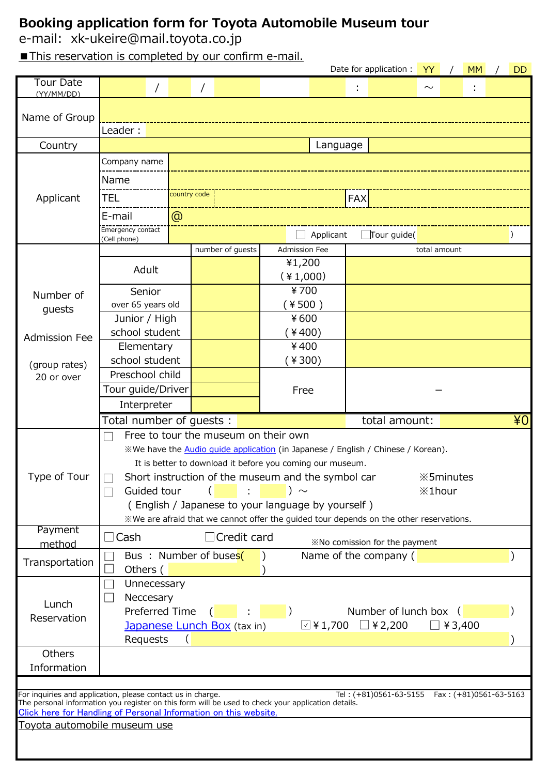## **Booking application form for Toyota Automobile Museum tour**

e-mail: xk-ukeire@mail.toyota.co.jp

■ This reservation is completed by our confirm e-mail.

|                                                                                                                                                                   |                                                                                                     |                            |  |                             |                                                                |                   |             | Date for application :                                                                  | YY                                |                | <b>MM</b> |  | <b>DD</b> |  |  |
|-------------------------------------------------------------------------------------------------------------------------------------------------------------------|-----------------------------------------------------------------------------------------------------|----------------------------|--|-----------------------------|----------------------------------------------------------------|-------------------|-------------|-----------------------------------------------------------------------------------------|-----------------------------------|----------------|-----------|--|-----------|--|--|
| <b>Tour Date</b>                                                                                                                                                  | $\sqrt{2}$                                                                                          |                            |  |                             |                                                                |                   |             |                                                                                         | $\sim$                            |                |           |  |           |  |  |
| (YY/MM/DD)                                                                                                                                                        |                                                                                                     |                            |  |                             |                                                                |                   |             |                                                                                         |                                   |                |           |  |           |  |  |
| Name of Group                                                                                                                                                     |                                                                                                     |                            |  |                             |                                                                |                   |             |                                                                                         |                                   |                |           |  |           |  |  |
|                                                                                                                                                                   | Leader:                                                                                             |                            |  |                             |                                                                |                   |             |                                                                                         |                                   |                |           |  |           |  |  |
| Country                                                                                                                                                           | Language                                                                                            |                            |  |                             |                                                                |                   |             |                                                                                         |                                   |                |           |  |           |  |  |
|                                                                                                                                                                   | Company name                                                                                        |                            |  |                             |                                                                |                   |             |                                                                                         |                                   |                |           |  |           |  |  |
|                                                                                                                                                                   | Name                                                                                                |                            |  |                             |                                                                |                   |             |                                                                                         |                                   |                |           |  |           |  |  |
|                                                                                                                                                                   |                                                                                                     |                            |  |                             |                                                                |                   |             |                                                                                         |                                   |                |           |  |           |  |  |
| Applicant                                                                                                                                                         | TEL                                                                                                 | country code<br><b>FAX</b> |  |                             |                                                                |                   |             |                                                                                         |                                   |                |           |  |           |  |  |
|                                                                                                                                                                   | E-mail                                                                                              | $^{\circledR}$             |  |                             |                                                                |                   |             |                                                                                         |                                   |                |           |  |           |  |  |
|                                                                                                                                                                   | Emergency contact<br>(Cell phone)                                                                   |                            |  |                             |                                                                | Applicant         | Tour guide( |                                                                                         |                                   |                |           |  |           |  |  |
|                                                                                                                                                                   |                                                                                                     |                            |  | number of quests            | <b>Admission Fee</b>                                           |                   |             |                                                                                         |                                   |                |           |  |           |  |  |
|                                                                                                                                                                   | Adult                                                                                               |                            |  |                             | ¥1,200                                                         |                   |             |                                                                                         |                                   |                |           |  |           |  |  |
|                                                                                                                                                                   |                                                                                                     |                            |  |                             | $(*1,000)$                                                     |                   |             |                                                                                         |                                   |                |           |  |           |  |  |
| Number of                                                                                                                                                         | Senior                                                                                              |                            |  |                             | ¥700                                                           |                   |             |                                                                                         |                                   |                |           |  |           |  |  |
| guests                                                                                                                                                            | over 65 years old                                                                                   |                            |  |                             | ¥500)                                                          |                   |             |                                                                                         |                                   |                |           |  |           |  |  |
|                                                                                                                                                                   | Junior / High                                                                                       |                            |  |                             | ¥600                                                           |                   |             |                                                                                         |                                   |                |           |  |           |  |  |
| <b>Admission Fee</b>                                                                                                                                              | school student                                                                                      |                            |  | 400)                        |                                                                |                   |             |                                                                                         |                                   |                |           |  |           |  |  |
|                                                                                                                                                                   | Elementary                                                                                          |                            |  |                             | ¥400                                                           |                   |             |                                                                                         |                                   |                |           |  |           |  |  |
| (group rates)                                                                                                                                                     | school student                                                                                      |                            |  |                             |                                                                | 4300)             |             |                                                                                         |                                   |                |           |  |           |  |  |
| 20 or over                                                                                                                                                        | Preschool child<br>Tour guide/Driver<br>Free                                                        |                            |  |                             |                                                                |                   |             |                                                                                         |                                   |                |           |  |           |  |  |
|                                                                                                                                                                   |                                                                                                     |                            |  |                             |                                                                |                   |             |                                                                                         |                                   |                |           |  |           |  |  |
|                                                                                                                                                                   | Interpreter                                                                                         |                            |  |                             |                                                                |                   |             |                                                                                         |                                   |                |           |  |           |  |  |
|                                                                                                                                                                   | 40 <sup>1</sup><br>Total number of quests:<br>total amount:<br>Free to tour the museum on their own |                            |  |                             |                                                                |                   |             |                                                                                         |                                   |                |           |  |           |  |  |
|                                                                                                                                                                   |                                                                                                     |                            |  |                             |                                                                |                   |             |                                                                                         |                                   |                |           |  |           |  |  |
|                                                                                                                                                                   |                                                                                                     |                            |  |                             |                                                                |                   |             |                                                                                         |                                   |                |           |  |           |  |  |
|                                                                                                                                                                   |                                                                                                     |                            |  |                             |                                                                |                   |             | %We have the <b>Audio quide application</b> (in Japanese / English / Chinese / Korean). |                                   |                |           |  |           |  |  |
|                                                                                                                                                                   |                                                                                                     |                            |  |                             | It is better to download it before you coming our museum.      |                   |             |                                                                                         |                                   |                |           |  |           |  |  |
| Type of Tour                                                                                                                                                      | Guided tour                                                                                         |                            |  |                             | Short instruction of the museum and the symbol car<br>) $\sim$ |                   |             |                                                                                         | ※5minutes<br>$\frac{1}{2}$ 1 hour |                |           |  |           |  |  |
|                                                                                                                                                                   |                                                                                                     |                            |  |                             | (English / Japanese to your language by yourself)              |                   |             |                                                                                         |                                   |                |           |  |           |  |  |
|                                                                                                                                                                   |                                                                                                     |                            |  |                             |                                                                |                   |             | «We are afraid that we cannot offer the guided tour depends on the other reservations.  |                                   |                |           |  |           |  |  |
| Payment                                                                                                                                                           | $\sqsupset$ Cash                                                                                    |                            |  | $\Box$ Credit card          |                                                                |                   |             |                                                                                         |                                   |                |           |  |           |  |  |
| method                                                                                                                                                            |                                                                                                     |                            |  |                             |                                                                |                   |             | *No comission for the payment                                                           |                                   |                |           |  |           |  |  |
| Transportation                                                                                                                                                    | Bus: Number of buses(                                                                               |                            |  |                             |                                                                |                   |             | Name of the company (                                                                   |                                   |                |           |  |           |  |  |
|                                                                                                                                                                   | Others (<br>Unnecessary                                                                             |                            |  |                             |                                                                |                   |             |                                                                                         |                                   |                |           |  |           |  |  |
|                                                                                                                                                                   | Neccesary                                                                                           |                            |  |                             |                                                                |                   |             |                                                                                         |                                   |                |           |  |           |  |  |
| Lunch                                                                                                                                                             | Preferred Time                                                                                      |                            |  |                             |                                                                |                   |             | Number of lunch box (                                                                   |                                   |                |           |  |           |  |  |
| Reservation                                                                                                                                                       |                                                                                                     |                            |  | Japanese Lunch Box (tax in) |                                                                | $\boxdot$ ¥ 1,700 |             | $\Box$ ¥ 2,200                                                                          |                                   | $\Box$ ¥ 3,400 |           |  |           |  |  |
|                                                                                                                                                                   | Requests                                                                                            |                            |  |                             |                                                                |                   |             |                                                                                         |                                   |                |           |  |           |  |  |
| Others                                                                                                                                                            |                                                                                                     |                            |  |                             |                                                                |                   |             |                                                                                         |                                   |                |           |  |           |  |  |
| Information                                                                                                                                                       |                                                                                                     |                            |  |                             |                                                                |                   |             |                                                                                         |                                   |                |           |  |           |  |  |
|                                                                                                                                                                   |                                                                                                     |                            |  |                             |                                                                |                   |             |                                                                                         |                                   |                |           |  |           |  |  |
| For inquiries and application, please contact us in charge.<br>The personal information you register on this form will be used to check your application details. |                                                                                                     |                            |  |                             |                                                                |                   |             | Tel: (+81)0561-63-5155    Fax: (+81)0561-63-5163                                        |                                   |                |           |  |           |  |  |
| Click here for Handling of Personal Information on this website.                                                                                                  |                                                                                                     |                            |  |                             |                                                                |                   |             |                                                                                         |                                   |                |           |  |           |  |  |
| Toyota automobile museum use                                                                                                                                      |                                                                                                     |                            |  |                             |                                                                |                   |             |                                                                                         |                                   |                |           |  |           |  |  |
|                                                                                                                                                                   |                                                                                                     |                            |  |                             |                                                                |                   |             |                                                                                         |                                   |                |           |  |           |  |  |